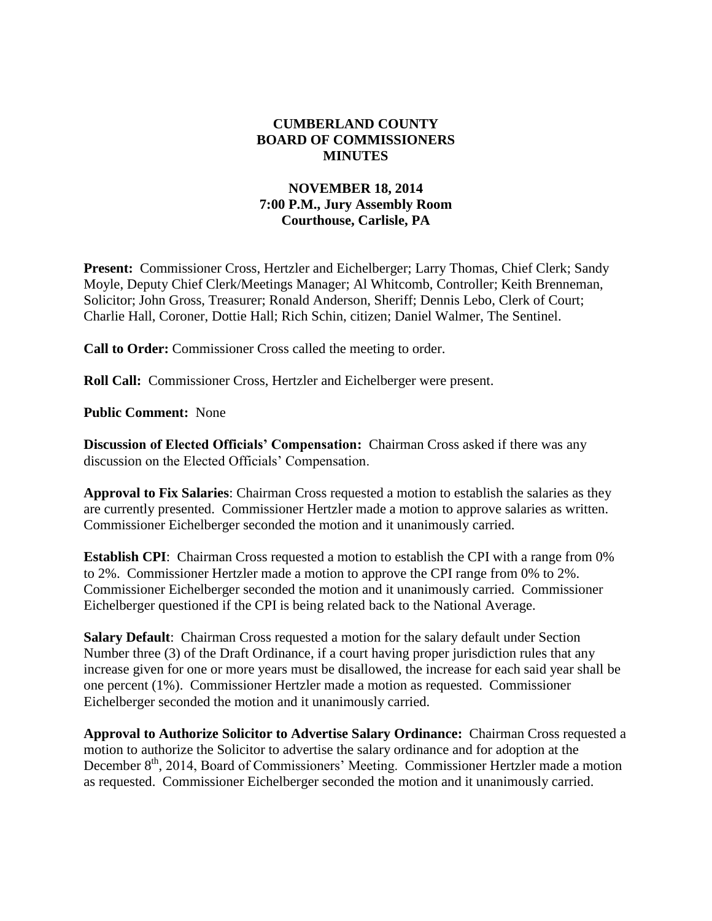## **CUMBERLAND COUNTY BOARD OF COMMISSIONERS MINUTES**

## **NOVEMBER 18, 2014 7:00 P.M., Jury Assembly Room Courthouse, Carlisle, PA**

**Present:** Commissioner Cross, Hertzler and Eichelberger; Larry Thomas, Chief Clerk; Sandy Moyle, Deputy Chief Clerk/Meetings Manager; Al Whitcomb, Controller; Keith Brenneman, Solicitor; John Gross, Treasurer; Ronald Anderson, Sheriff; Dennis Lebo, Clerk of Court; Charlie Hall, Coroner, Dottie Hall; Rich Schin, citizen; Daniel Walmer, The Sentinel.

**Call to Order:** Commissioner Cross called the meeting to order.

**Roll Call:** Commissioner Cross, Hertzler and Eichelberger were present.

**Public Comment:** None

**Discussion of Elected Officials' Compensation:** Chairman Cross asked if there was any discussion on the Elected Officials' Compensation.

**Approval to Fix Salaries**: Chairman Cross requested a motion to establish the salaries as they are currently presented. Commissioner Hertzler made a motion to approve salaries as written. Commissioner Eichelberger seconded the motion and it unanimously carried.

**Establish CPI**: Chairman Cross requested a motion to establish the CPI with a range from 0% to 2%. Commissioner Hertzler made a motion to approve the CPI range from 0% to 2%. Commissioner Eichelberger seconded the motion and it unanimously carried. Commissioner Eichelberger questioned if the CPI is being related back to the National Average.

**Salary Default**: Chairman Cross requested a motion for the salary default under Section Number three (3) of the Draft Ordinance, if a court having proper jurisdiction rules that any increase given for one or more years must be disallowed, the increase for each said year shall be one percent (1%). Commissioner Hertzler made a motion as requested. Commissioner Eichelberger seconded the motion and it unanimously carried.

**Approval to Authorize Solicitor to Advertise Salary Ordinance:** Chairman Cross requested a motion to authorize the Solicitor to advertise the salary ordinance and for adoption at the December 8<sup>th</sup>, 2014, Board of Commissioners' Meeting. Commissioner Hertzler made a motion as requested. Commissioner Eichelberger seconded the motion and it unanimously carried.